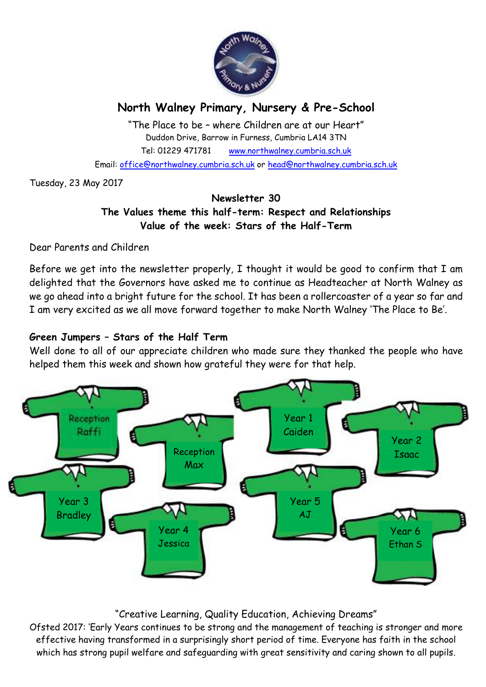

# **North Walney Primary, Nursery & Pre-School**

"The Place to be – where Children are at our Heart" Duddon Drive, Barrow in Furness, Cumbria LA14 3TN Tel: 01229 471781 www.northwalney.cumbria.sch.uk Email: office@northwalney.cumbria.sch.uk or head@northwalney.cumbria.sch.uk

Tuesday, 23 May 2017

## **Newsletter 30 The Values theme this half-term: Respect and Relationships Value of the week: Stars of the Half-Term**

Dear Parents and Children

Before we get into the newsletter properly, I thought it would be good to confirm that I am delighted that the Governors have asked me to continue as Headteacher at North Walney as we go ahead into a bright future for the school. It has been a rollercoaster of a year so far and I am very excited as we all move forward together to make North Walney 'The Place to Be'.

## **Green Jumpers – Stars of the Half Term**

Well done to all of our appreciate children who made sure they thanked the people who have helped them this week and shown how grateful they were for that help.



## "Creative Learning, Quality Education, Achieving Dreams"

Ofsted 2017: 'Early Years continues to be strong and the management of teaching is stronger and more effective having transformed in a surprisingly short period of time. Everyone has faith in the school which has strong pupil welfare and safeguarding with great sensitivity and caring shown to all pupils.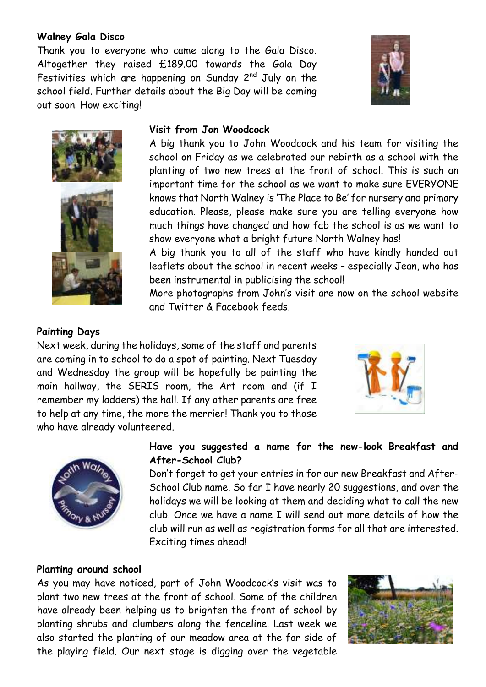### **Walney Gala Disco**

Thank you to everyone who came along to the Gala Disco. Altogether they raised £189.00 towards the Gala Day Festivities which are happening on Sunday 2<sup>nd</sup> July on the school field. Further details about the Big Day will be coming out soon! How exciting!





### **Visit from Jon Woodcock**

A big thank you to John Woodcock and his team for visiting the school on Friday as we celebrated our rebirth as a school with the planting of two new trees at the front of school. This is such an important time for the school as we want to make sure EVERYONE knows that North Walney is 'The Place to Be' for nursery and primary education. Please, please make sure you are telling everyone how much things have changed and how fab the school is as we want to show everyone what a bright future North Walney has!

A big thank you to all of the staff who have kindly handed out leaflets about the school in recent weeks – especially Jean, who has been instrumental in publicising the school!

More photographs from John's visit are now on the school website and Twitter & Facebook feeds.

#### **Painting Days**

Next week, during the holidays, some of the staff and parents are coming in to school to do a spot of painting. Next Tuesday and Wednesday the group will be hopefully be painting the main hallway, the SERIS room, the Art room and (if I remember my ladders) the hall. If any other parents are free to help at any time, the more the merrier! Thank you to those who have already volunteered.





#### **Have you suggested a name for the new-look Breakfast and After-School Club?**

Don't forget to get your entries in for our new Breakfast and After-School Club name. So far I have nearly 20 suggestions, and over the holidays we will be looking at them and deciding what to call the new club. Once we have a name I will send out more details of how the club will run as well as registration forms for all that are interested. Exciting times ahead!

#### **Planting around school**

As you may have noticed, part of John Woodcock's visit was to plant two new trees at the front of school. Some of the children have already been helping us to brighten the front of school by planting shrubs and clumbers along the fenceline. Last week we also started the planting of our meadow area at the far side of the playing field. Our next stage is digging over the vegetable

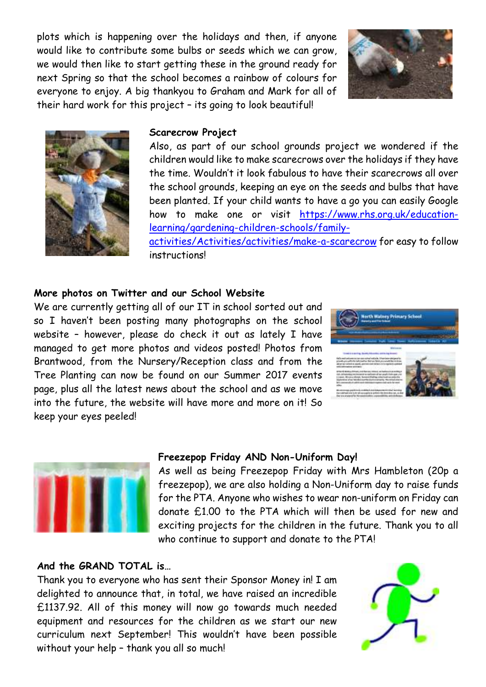plots which is happening over the holidays and then, if anyone would like to contribute some bulbs or seeds which we can grow, we would then like to start getting these in the ground ready for next Spring so that the school becomes a rainbow of colours for everyone to enjoy. A big thankyou to Graham and Mark for all of their hard work for this project – its going to look beautiful!





#### **Scarecrow Project**

Also, as part of our school grounds project we wondered if the children would like to make scarecrows over the holidays if they have the time. Wouldn't it look fabulous to have their scarecrows all over the school grounds, keeping an eye on the seeds and bulbs that have been planted. If your child wants to have a go you can easily Google how to make one or visit https://www.rhs.org.uk/educationlearning/gardening-children-schools/familyactivities/Activities/activities/make-a-scarecrow for easy to follow

instructions!

#### **More photos on Twitter and our School Website**

We are currently getting all of our IT in school sorted out and so I haven't been posting many photographs on the school website – however, please do check it out as lately I have managed to get more photos and videos posted! Photos from Brantwood, from the Nursery/Reception class and from the Tree Planting can now be found on our Summer 2017 events page, plus all the latest news about the school and as we move into the future, the website will have more and more on it! So keep your eyes peeled!





#### **Freezepop Friday AND Non-Uniform Day!**

As well as being Freezepop Friday with Mrs Hambleton (20p a freezepop), we are also holding a Non-Uniform day to raise funds for the PTA. Anyone who wishes to wear non-uniform on Friday can donate £1.00 to the PTA which will then be used for new and exciting projects for the children in the future. Thank you to all who continue to support and donate to the PTA!

#### **And the GRAND TOTAL is…**

Thank you to everyone who has sent their Sponsor Money in! I am delighted to announce that, in total, we have raised an incredible £1137.92. All of this money will now go towards much needed equipment and resources for the children as we start our new curriculum next September! This wouldn't have been possible without your help – thank you all so much!